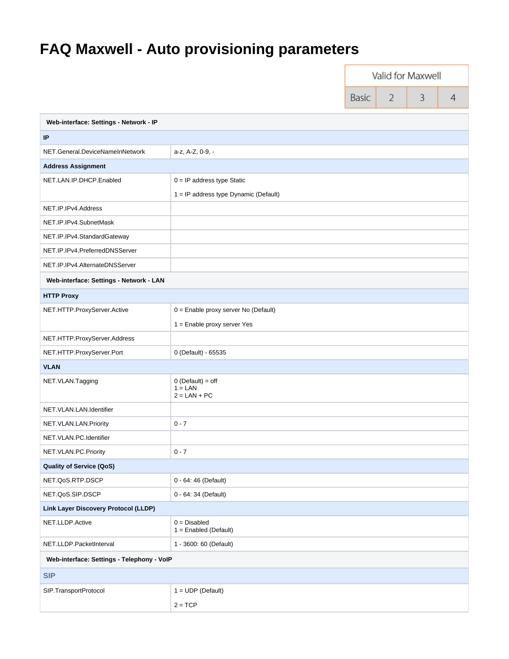## **FAQ Maxwell - Auto provisioning parameters**

|                                             |                                                    | Valid for Maxwell |   |   |   |
|---------------------------------------------|----------------------------------------------------|-------------------|---|---|---|
|                                             |                                                    | Basic             | 2 | 3 | 4 |
| Web-interface: Settings - Network - IP      |                                                    |                   |   |   |   |
| IP                                          |                                                    |                   |   |   |   |
| NET.General.DeviceNameInNetwork             | a-z, A-Z, 0-9, -                                   |                   |   |   |   |
| <b>Address Assignment</b>                   |                                                    |                   |   |   |   |
| NET.LAN.IP.DHCP.Enabled                     | $0 = IP$ address type Static                       |                   |   |   |   |
|                                             | 1 = IP address type Dynamic (Default)              |                   |   |   |   |
| NET.IP.IPv4.Address                         |                                                    |                   |   |   |   |
| NET.IP.IPv4.SubnetMask                      |                                                    |                   |   |   |   |
| NET.IP.IPv4.StandardGateway                 |                                                    |                   |   |   |   |
| NET.IP.IPv4.PreferredDNSServer              |                                                    |                   |   |   |   |
| NET.IP.IPv4.AlternateDNSServer              |                                                    |                   |   |   |   |
| Web-interface: Settings - Network - LAN     |                                                    |                   |   |   |   |
| <b>HTTP Proxy</b>                           |                                                    |                   |   |   |   |
| NET.HTTP.ProxyServer.Active                 | 0 = Enable proxy server No (Default)               |                   |   |   |   |
|                                             | 1 = Enable proxy server Yes                        |                   |   |   |   |
| NET.HTTP.ProxyServer.Address                |                                                    |                   |   |   |   |
| NET.HTTP.ProxyServer.Port                   | 0 (Default) - 65535                                |                   |   |   |   |
| <b>VLAN</b>                                 |                                                    |                   |   |   |   |
| NET.VLAN.Tagging                            | $0$ (Default) = off<br>$1 = LAN$<br>$2 = LAN + PC$ |                   |   |   |   |
| NET.VLAN.LAN.Identifier                     |                                                    |                   |   |   |   |
| NET.VLAN.LAN.Priority                       | $0 - 7$                                            |                   |   |   |   |
| NET.VLAN.PC.Identifier                      |                                                    |                   |   |   |   |
| NET.VLAN.PC.Priority                        | $0 - 7$                                            |                   |   |   |   |
| <b>Quality of Service (QoS)</b>             |                                                    |                   |   |   |   |
| NET.QoS.RTP.DSCP                            | 0 - 64: 46 (Default)                               |                   |   |   |   |
| NET.QoS.SIP.DSCP                            | 0 - 64: 34 (Default)                               |                   |   |   |   |
| <b>Link Layer Discovery Protocol (LLDP)</b> |                                                    |                   |   |   |   |
| NET.LLDP.Active                             | $0 = Disabled$<br>$1 =$ Enabled (Default)          |                   |   |   |   |
| NET.LLDP.PacketInterval                     | 1 - 3600: 60 (Default)                             |                   |   |   |   |
| Web-interface: Settings - Telephony - VoIP  |                                                    |                   |   |   |   |
| <b>SIP</b>                                  |                                                    |                   |   |   |   |
| SIP.TransportProtocol                       | $1 = UDP (Default)$<br>$2 = TCP$                   |                   |   |   |   |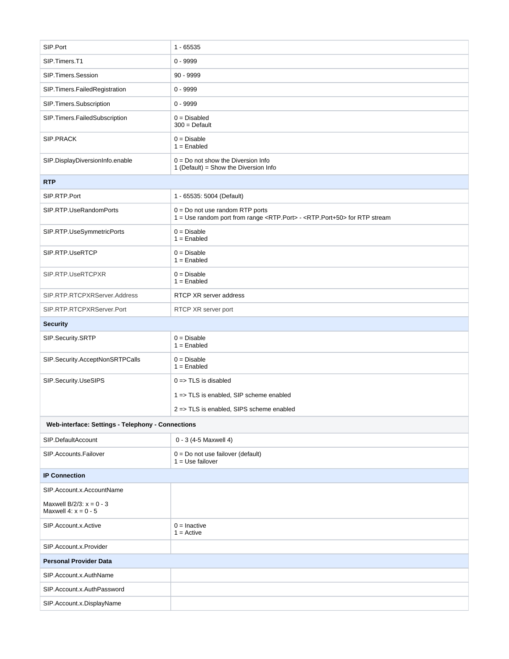| SIP.Port                                                | $1 - 65535$                                                                                                                            |  |
|---------------------------------------------------------|----------------------------------------------------------------------------------------------------------------------------------------|--|
| SIP.Timers.T1                                           | $0 - 9999$                                                                                                                             |  |
| SIP.Timers.Session                                      | $90 - 9999$                                                                                                                            |  |
| SIP.Timers.FailedRegistration                           | $0 - 9999$                                                                                                                             |  |
| SIP.Timers.Subscription                                 | $0 - 9999$                                                                                                                             |  |
| SIP.Timers.FailedSubscription                           | $0 = Disabled$<br>$300 = \text{Default}$                                                                                               |  |
| <b>SIP.PRACK</b>                                        | $0 = Disable$<br>$1 =$ Enabled                                                                                                         |  |
| SIP.DisplayDiversionInfo.enable                         | $0 = Do$ not show the Diversion Info<br>1 (Default) = Show the Diversion Info                                                          |  |
| <b>RTP</b>                                              |                                                                                                                                        |  |
| SIP.RTP.Port                                            | 1 - 65535: 5004 (Default)                                                                                                              |  |
| SIP.RTP.UseRandomPorts                                  | $0 = Do$ not use random RTP ports<br>1 = Use random port from range <rtp.port> - <rtp.port+50> for RTP stream</rtp.port+50></rtp.port> |  |
| SIP.RTP.UseSymmetricPorts                               | $0 = Disable$<br>$1 =$ Enabled                                                                                                         |  |
| SIP.RTP.UseRTCP                                         | $0 = Disable$<br>$1 =$ Enabled                                                                                                         |  |
| SIP.RTP.UseRTCPXR                                       | $0 = Disable$<br>$1 =$ Enabled                                                                                                         |  |
| SIP.RTP.RTCPXRServer.Address                            | RTCP XR server address                                                                                                                 |  |
| SIP.RTP.RTCPXRServer.Port                               | RTCP XR server port                                                                                                                    |  |
| <b>Security</b>                                         |                                                                                                                                        |  |
| SIP.Security.SRTP                                       | $0 = Disable$<br>$1 =$ Enabled                                                                                                         |  |
| SIP.Security.AcceptNonSRTPCalls                         | $0 = Disable$<br>$1 =$ Enabled                                                                                                         |  |
| SIP.Security.UseSIPS                                    | $0 \Rightarrow$ TLS is disabled                                                                                                        |  |
|                                                         | 1 => TLS is enabled, SIP scheme enabled                                                                                                |  |
|                                                         | 2 => TLS is enabled, SIPS scheme enabled                                                                                               |  |
| Web-interface: Settings - Telephony - Connections       |                                                                                                                                        |  |
| SIP.DefaultAccount                                      | 0 - 3 (4-5 Maxwell 4)                                                                                                                  |  |
| SIP.Accounts.Failover                                   | $0 = Do$ not use failover (default)<br>$1 = Use failure$                                                                               |  |
| <b>IP Connection</b>                                    |                                                                                                                                        |  |
| SIP.Account.x.AccountName                               |                                                                                                                                        |  |
| Maxwell $B/2/3$ : $x = 0 - 3$<br>Maxwell 4: $x = 0 - 5$ |                                                                                                                                        |  |
| SIP.Account.x.Active                                    | $0 =$ Inactive<br>$1 =$ Active                                                                                                         |  |
| SIP.Account.x.Provider                                  |                                                                                                                                        |  |
| <b>Personal Provider Data</b>                           |                                                                                                                                        |  |
| SIP.Account.x.AuthName                                  |                                                                                                                                        |  |
| SIP.Account.x.AuthPassword                              |                                                                                                                                        |  |
| SIP.Account.x.DisplayName                               |                                                                                                                                        |  |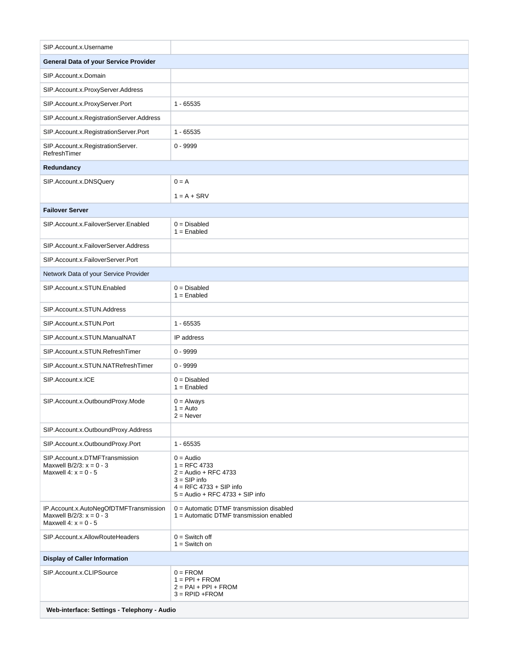| SIP.Account.x.Username                                                                         |                                                                                                                                             |
|------------------------------------------------------------------------------------------------|---------------------------------------------------------------------------------------------------------------------------------------------|
| General Data of your Service Provider                                                          |                                                                                                                                             |
| SIP.Account.x.Domain                                                                           |                                                                                                                                             |
| SIP.Account.x.ProxyServer.Address                                                              |                                                                                                                                             |
| SIP.Account.x.ProxyServer.Port                                                                 | $1 - 65535$                                                                                                                                 |
| SIP.Account.x.RegistrationServer.Address                                                       |                                                                                                                                             |
| SIP.Account.x.RegistrationServer.Port                                                          | $1 - 65535$                                                                                                                                 |
| SIP.Account.x.RegistrationServer.<br>RefreshTimer                                              | $0 - 9999$                                                                                                                                  |
| Redundancy                                                                                     |                                                                                                                                             |
| SIP.Account.x.DNSQuery                                                                         | $0 = A$                                                                                                                                     |
|                                                                                                | $1 = A + SRV$                                                                                                                               |
| <b>Failover Server</b>                                                                         |                                                                                                                                             |
| SIP.Account.x.FailoverServer.Enabled                                                           | $0 = Disabled$<br>$1 =$ Enabled                                                                                                             |
| SIP.Account.x.FailoverServer.Address                                                           |                                                                                                                                             |
| SIP.Account.x.FailoverServer.Port                                                              |                                                                                                                                             |
| Network Data of your Service Provider                                                          |                                                                                                                                             |
| SIP.Account.x.STUN.Enabled                                                                     | $0 = Disabled$<br>$1 =$ Enabled                                                                                                             |
| SIP.Account.x.STUN.Address                                                                     |                                                                                                                                             |
| SIP.Account.x.STUN.Port                                                                        | $1 - 65535$                                                                                                                                 |
| SIP.Account.x.STUN.ManualNAT                                                                   | IP address                                                                                                                                  |
| SIP.Account.x.STUN.RefreshTimer                                                                | $0 - 9999$                                                                                                                                  |
| SIP.Account.x.STUN.NATRefreshTimer                                                             | $0 - 9999$                                                                                                                                  |
| SIP.Account.x.ICE                                                                              | $0 = Disabled$<br>$1 =$ Enabled                                                                                                             |
| SIP.Account.x.OutboundProxy.Mode                                                               | $0 =$ Always<br>$1 = Auto$<br>$2 =$ Never                                                                                                   |
| SIP.Account.x.OutboundProxy.Address                                                            |                                                                                                                                             |
| SIP.Account.x.OutboundProxy.Port                                                               | $1 - 65535$                                                                                                                                 |
| SIP.Account.x.DTMFTransmission<br>Maxwell B/2/3: $x = 0 - 3$<br>Maxwell 4: $x = 0 - 5$         | $0 =$ Audio<br>$1 =$ RFC 4733<br>$2 =$ Audio + RFC 4733<br>$3 =$ SIP info<br>$4 =$ RFC 4733 + SIP info<br>$5 =$ Audio + RFC 4733 + SIP info |
| IP.Account.x.AutoNegOfDTMFTransmission<br>Maxwell B/2/3: $x = 0 - 3$<br>Maxwell 4: $x = 0 - 5$ | $0 =$ Automatic DTMF transmission disabled<br>1 = Automatic DTMF transmission enabled                                                       |
| SIP.Account.x.AllowRouteHeaders                                                                | $0 =$ Switch off<br>$1 =$ Switch on                                                                                                         |
| <b>Display of Caller Information</b>                                                           |                                                                                                                                             |
| SIP.Account.x.CLIPSource                                                                       | $0 = FROM$<br>$1 = PPI + FROM$<br>$2 = PAI + PPI + FROM$<br>$3 = RPID + FROM$                                                               |
| Web-interface: Settings - Telephony - Audio                                                    |                                                                                                                                             |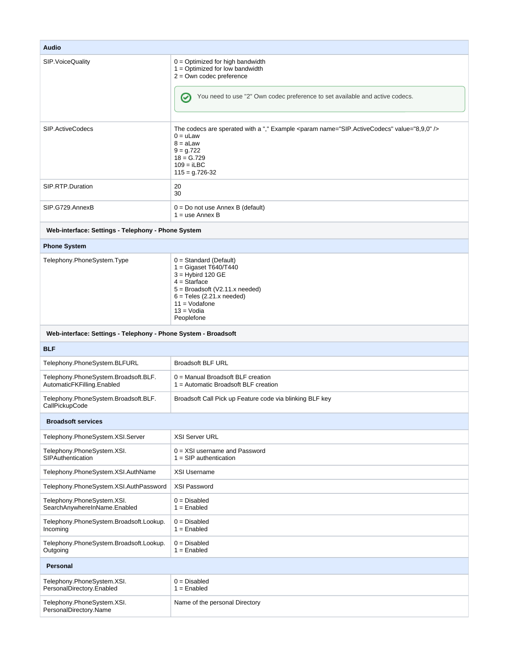| <b>Audio</b>                                                       |                                                                                                                                                                                                                   |
|--------------------------------------------------------------------|-------------------------------------------------------------------------------------------------------------------------------------------------------------------------------------------------------------------|
| SIP. Voice Quality                                                 | $0 =$ Optimized for high bandwidth<br>$1 =$ Optimized for low bandwidth<br>$2 = Own$ codec preference<br>You need to use "2" Own codec preference to set available and active codecs.<br>$\rm \sim$               |
| SIP.ActiveCodecs                                                   | The codecs are sperated with a "," Example <param name="SIP.ActiveCodecs" value="8,9,0"/><br>$0 = uLaw$<br>$8 = aLaw$<br>$9 = g.722$<br>$18 = G.729$<br>$109 = iLBC$<br>$115 = g.726 - 32$                        |
| SIP.RTP.Duration                                                   | 20<br>30                                                                                                                                                                                                          |
| SIP.G729.AnnexB                                                    | $0 = Do$ not use Annex B (default)<br>$1 =$ use Annex B                                                                                                                                                           |
| Web-interface: Settings - Telephony - Phone System                 |                                                                                                                                                                                                                   |
| <b>Phone System</b>                                                |                                                                                                                                                                                                                   |
| Telephony.PhoneSystem.Type                                         | $0 = Standard (Default)$<br>$1 = Gigaset T640/T440$<br>$3 =$ Hybird 120 GE<br>$4 =$ Starface<br>$5 =$ Broadsoft (V2.11.x needed)<br>$6 =$ Teles (2.21.x needed)<br>$11 = Vodafone$<br>$13 = V$ odia<br>Peoplefone |
| Web-interface: Settings - Telephony - Phone System - Broadsoft     |                                                                                                                                                                                                                   |
| <b>BLF</b>                                                         |                                                                                                                                                                                                                   |
| Telephony.PhoneSystem.BLFURL                                       | <b>Broadsoft BLF URL</b>                                                                                                                                                                                          |
| Telephony.PhoneSystem.Broadsoft.BLF.<br>AutomaticFKFilling.Enabled | 0 = Manual Broadsoft BLF creation<br>1 = Automatic Broadsoft BLF creation                                                                                                                                         |
| Telephony.PhoneSystem.Broadsoft.BLF.<br>CallPickupCode             | Broadsoft Call Pick up Feature code via blinking BLF key                                                                                                                                                          |
| <b>Broadsoft services</b>                                          |                                                                                                                                                                                                                   |
| Telephony.PhoneSystem.XSI.Server                                   | <b>XSI Server URL</b>                                                                                                                                                                                             |
| Telephony.PhoneSystem.XSI.<br>SIPAuthentication                    | $0 = XSI$ username and Password<br>$1 =$ SIP authentication                                                                                                                                                       |
| Telephony.PhoneSystem.XSI.AuthName                                 | <b>XSI Username</b>                                                                                                                                                                                               |
| Telephony.PhoneSystem.XSI.AuthPassword                             | XSI Password                                                                                                                                                                                                      |
| Telephony.PhoneSystem.XSI.<br>SearchAnywhereInName.Enabled         | $0 = Disabled$<br>$1 =$ Enabled                                                                                                                                                                                   |
| Telephony.PhoneSystem.Broadsoft.Lookup.<br>Incoming                | $0 = Disabled$<br>$1 =$ Enabled                                                                                                                                                                                   |
| Telephony.PhoneSystem.Broadsoft.Lookup.<br>Outgoing                | $0 = Disabled$<br>$1 =$ Enabled                                                                                                                                                                                   |
| Personal                                                           |                                                                                                                                                                                                                   |
| Telephony.PhoneSystem.XSI.<br>PersonalDirectory.Enabled            | $0 = Disabled$<br>$1 =$ Enabled                                                                                                                                                                                   |
| Telephony.PhoneSystem.XSI.<br>PersonalDirectory.Name               | Name of the personal Directory                                                                                                                                                                                    |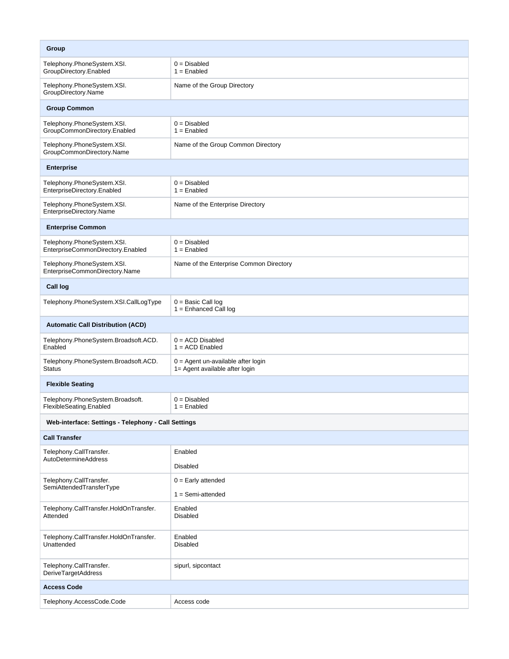| Group                                                           |                                                                      |  |
|-----------------------------------------------------------------|----------------------------------------------------------------------|--|
| Telephony.PhoneSystem.XSI.<br>GroupDirectory.Enabled            | $0 = Disabled$<br>$1 =$ Enabled                                      |  |
| Telephony.PhoneSystem.XSI.<br>GroupDirectory.Name               | Name of the Group Directory                                          |  |
| <b>Group Common</b>                                             |                                                                      |  |
| Telephony.PhoneSystem.XSI.<br>GroupCommonDirectory.Enabled      | $0 = Disabled$<br>$1 =$ Enabled                                      |  |
| Telephony.PhoneSystem.XSI.<br>GroupCommonDirectory.Name         | Name of the Group Common Directory                                   |  |
| <b>Enterprise</b>                                               |                                                                      |  |
| Telephony.PhoneSystem.XSI.<br>EnterpriseDirectory.Enabled       | $0 = Disabled$<br>$1 =$ Enabled                                      |  |
| Telephony.PhoneSystem.XSI.<br>EnterpriseDirectory.Name          | Name of the Enterprise Directory                                     |  |
| <b>Enterprise Common</b>                                        |                                                                      |  |
| Telephony.PhoneSystem.XSI.<br>EnterpriseCommonDirectory.Enabled | $0 = Disabled$<br>$1 =$ Enabled                                      |  |
| Telephony.PhoneSystem.XSI.<br>EnterpriseCommonDirectory.Name    | Name of the Enterprise Common Directory                              |  |
| Call log                                                        |                                                                      |  |
| Telephony.PhoneSystem.XSI.CallLogType                           | $0 =$ Basic Call log<br>$1 =$ Enhanced Call log                      |  |
| <b>Automatic Call Distribution (ACD)</b>                        |                                                                      |  |
| Telephony.PhoneSystem.Broadsoft.ACD.<br>Enabled                 | $0 = ACD$ Disabled<br>$1 = ACD$ Enabled                              |  |
| Telephony.PhoneSystem.Broadsoft.ACD.<br><b>Status</b>           | 0 = Agent un-available after login<br>1= Agent available after login |  |
| <b>Flexible Seating</b>                                         |                                                                      |  |
| Telephony.PhoneSystem.Broadsoft.<br>FlexibleSeating.Enabled     | $0 = Disabled$<br>$1 =$ Enabled                                      |  |
| Web-interface: Settings - Telephony - Call Settings             |                                                                      |  |
| <b>Call Transfer</b>                                            |                                                                      |  |
| Telephony.CallTransfer.<br><b>AutoDetermineAddress</b>          | Enabled                                                              |  |
|                                                                 | <b>Disabled</b>                                                      |  |
| Telephony.CallTransfer.<br>SemiAttendedTransferType             | $0 =$ Early attended<br>$1 =$ Semi-attended                          |  |
| Telephony.CallTransfer.HoldOnTransfer.<br>Attended              | Enabled<br><b>Disabled</b>                                           |  |
| Telephony.CallTransfer.HoldOnTransfer.<br>Unattended            | Enabled<br><b>Disabled</b>                                           |  |
| Telephony.CallTransfer.<br><b>DeriveTargetAddress</b>           | sipurl, sipcontact                                                   |  |
| <b>Access Code</b>                                              |                                                                      |  |
| Telephony.AccessCode.Code                                       | Access code                                                          |  |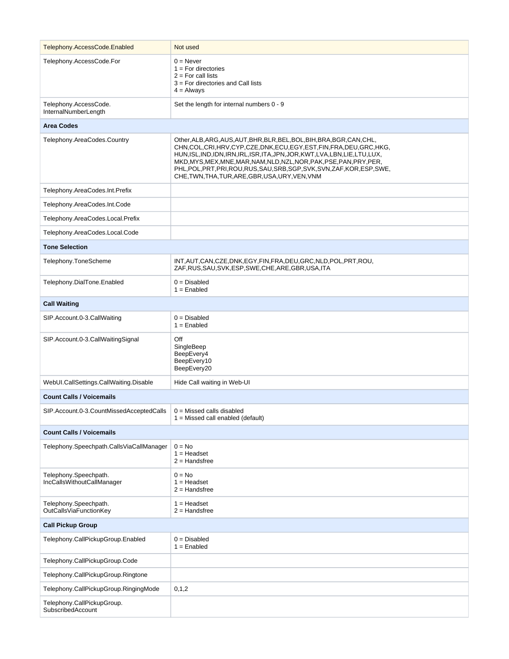| Telephony.AccessCode.Enabled                        | Not used                                                                                                                                                                                                                                                                                                                                                                                                                              |  |
|-----------------------------------------------------|---------------------------------------------------------------------------------------------------------------------------------------------------------------------------------------------------------------------------------------------------------------------------------------------------------------------------------------------------------------------------------------------------------------------------------------|--|
| Telephony.AccessCode.For                            | $0 =$ Never<br>$1 = For$ directories<br>$2 = For call lists$<br>$3$ = For directories and Call lists<br>$4 =$ Always                                                                                                                                                                                                                                                                                                                  |  |
| Telephony.AccessCode.<br>InternalNumberLength       | Set the length for internal numbers 0 - 9                                                                                                                                                                                                                                                                                                                                                                                             |  |
| <b>Area Codes</b>                                   |                                                                                                                                                                                                                                                                                                                                                                                                                                       |  |
| Telephony.AreaCodes.Country                         | Other, ALB, ARG, AUS, AUT, BHR, BLR, BEL, BOL, BIH, BRA, BGR, CAN, CHL,<br>CHN,COL,CRI,HRV,CYP,CZE,DNK,ECU,EGY,EST,FIN,FRA,DEU,GRC,HKG,<br>HUN, ISL, IND, IDN, IRN, IRL, ISR, ITA, JPN, JOR, KWT, LVA, LBN, LIE, LTU, LUX,<br>MKD, MYS, MEX, MNE, MAR, NAM, NLD, NZL, NOR, PAK, PSE, PAN, PRY, PER,<br>PHL, POL, PRT, PRI, ROU, RUS, SAU, SRB, SGP, SVK, SVN, ZAF, KOR, ESP, SWE,<br>CHE, TWN, THA, TUR, ARE, GBR, USA, URY, VEN, VNM |  |
| Telephony.AreaCodes.Int.Prefix                      |                                                                                                                                                                                                                                                                                                                                                                                                                                       |  |
| Telephony.AreaCodes.Int.Code                        |                                                                                                                                                                                                                                                                                                                                                                                                                                       |  |
| Telephony.AreaCodes.Local.Prefix                    |                                                                                                                                                                                                                                                                                                                                                                                                                                       |  |
| Telephony.AreaCodes.Local.Code                      |                                                                                                                                                                                                                                                                                                                                                                                                                                       |  |
| <b>Tone Selection</b>                               |                                                                                                                                                                                                                                                                                                                                                                                                                                       |  |
| Telephony.ToneScheme                                | INT, AUT, CAN, CZE, DNK, EGY, FIN, FRA, DEU, GRC, NLD, POL, PRT, ROU,<br>ZAF, RUS, SAU, SVK, ESP, SWE, CHE, ARE, GBR, USA, ITA                                                                                                                                                                                                                                                                                                        |  |
| Telephony.DialTone.Enabled                          | $0 = Disabled$<br>$1 =$ Enabled                                                                                                                                                                                                                                                                                                                                                                                                       |  |
| <b>Call Waiting</b>                                 |                                                                                                                                                                                                                                                                                                                                                                                                                                       |  |
| SIP.Account.0-3.CallWaiting                         | $0 = Disabled$<br>$1 =$ Enabled                                                                                                                                                                                                                                                                                                                                                                                                       |  |
| SIP.Account.0-3.CallWaitingSignal                   | Off<br>SingleBeep<br>BeepEvery4<br>BeepEvery10<br>BeepEvery20                                                                                                                                                                                                                                                                                                                                                                         |  |
| WebUI.CallSettings.CallWaiting.Disable              | Hide Call waiting in Web-UI                                                                                                                                                                                                                                                                                                                                                                                                           |  |
| <b>Count Calls / Voicemails</b>                     |                                                                                                                                                                                                                                                                                                                                                                                                                                       |  |
| SIP.Account.0-3.CountMissedAcceptedCalls            | $0 =$ Missed calls disabled<br>$1 =$ Missed call enabled (default)                                                                                                                                                                                                                                                                                                                                                                    |  |
| <b>Count Calls / Voicemails</b>                     |                                                                                                                                                                                                                                                                                                                                                                                                                                       |  |
| Telephony.Speechpath.CallsViaCallManager            | $0 = No$<br>$1 =$ Headset<br>$2 =$ Handsfree                                                                                                                                                                                                                                                                                                                                                                                          |  |
| Telephony.Speechpath.<br>IncCallsWithoutCallManager | $0 = No$<br>$1 =$ Headset<br>$2 =$ Handsfree                                                                                                                                                                                                                                                                                                                                                                                          |  |
| Telephony.Speechpath.<br>OutCallsViaFunctionKey     | $1 =$ Headset<br>$2 =$ Handsfree                                                                                                                                                                                                                                                                                                                                                                                                      |  |
| <b>Call Pickup Group</b>                            |                                                                                                                                                                                                                                                                                                                                                                                                                                       |  |
| Telephony.CallPickupGroup.Enabled                   | $0 = Disabled$<br>$1 =$ Enabled                                                                                                                                                                                                                                                                                                                                                                                                       |  |
| Telephony.CallPickupGroup.Code                      |                                                                                                                                                                                                                                                                                                                                                                                                                                       |  |
| Telephony.CallPickupGroup.Ringtone                  |                                                                                                                                                                                                                                                                                                                                                                                                                                       |  |
| Telephony.CallPickupGroup.RingingMode               | 0, 1, 2                                                                                                                                                                                                                                                                                                                                                                                                                               |  |
| Telephony.CallPickupGroup.<br>SubscribedAccount     |                                                                                                                                                                                                                                                                                                                                                                                                                                       |  |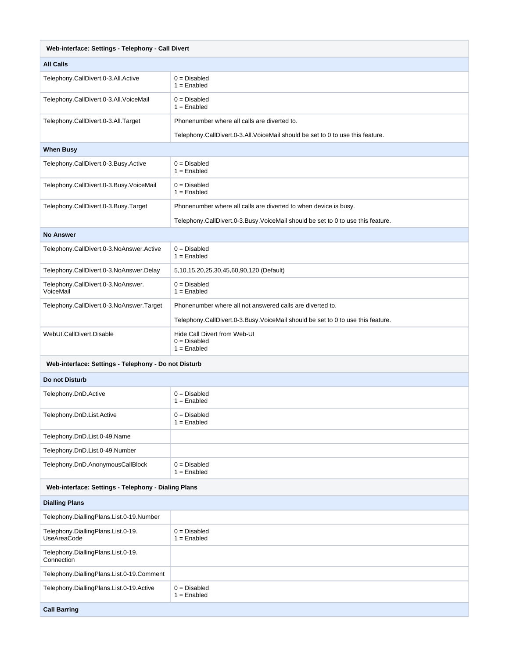| Web-interface: Settings - Telephony - Call Divert        |                                                                                 |  |
|----------------------------------------------------------|---------------------------------------------------------------------------------|--|
| <b>All Calls</b>                                         |                                                                                 |  |
| Telephony.CallDivert.0-3.All.Active                      | $0 = Disabled$<br>$1 =$ Enabled                                                 |  |
| Telephony.CallDivert.0-3.All.VoiceMail                   | $0 = Disabled$<br>$1 =$ Enabled                                                 |  |
| Telephony.CallDivert.0-3.All.Target                      | Phonenumber where all calls are diverted to.                                    |  |
|                                                          | Telephony.CallDivert.0-3.All.VoiceMail should be set to 0 to use this feature.  |  |
| <b>When Busy</b>                                         |                                                                                 |  |
| Telephony.CallDivert.0-3.Busy.Active                     | $0 = Disabled$<br>$1 =$ Enabled                                                 |  |
| Telephony.CallDivert.0-3.Busy.VoiceMail                  | $0 = Disabled$<br>$1 =$ Enabled                                                 |  |
| Telephony.CallDivert.0-3.Busy.Target                     | Phonenumber where all calls are diverted to when device is busy.                |  |
|                                                          | Telephony.CallDivert.0-3.Busy.VoiceMail should be set to 0 to use this feature. |  |
| <b>No Answer</b>                                         |                                                                                 |  |
| Telephony.CallDivert.0-3.NoAnswer.Active                 | $0 = Disabeled$<br>$1 =$ Enabled                                                |  |
| Telephony.CallDivert.0-3.NoAnswer.Delay                  | 5,10,15,20,25,30,45,60,90,120 (Default)                                         |  |
| Telephony.CallDivert.0-3.NoAnswer.<br>VoiceMail          | $0 = Disabled$<br>$1 =$ Enabled                                                 |  |
| Telephony.CallDivert.0-3.NoAnswer.Target                 | Phonenumber where all not answered calls are diverted to.                       |  |
|                                                          | Telephony.CallDivert.0-3.Busy.VoiceMail should be set to 0 to use this feature. |  |
| WebUI.CallDivert.Disable                                 | Hide Call Divert from Web-UI<br>$0 = Disabled$<br>$1 =$ Enabled                 |  |
| Web-interface: Settings - Telephony - Do not Disturb     |                                                                                 |  |
| Do not Disturb                                           |                                                                                 |  |
| Telephony.DnD.Active                                     | $0 = Disabled$<br>$1 =$ Enabled                                                 |  |
| Telephony.DnD.List.Active                                | $0 = Disabled$<br>$1 =$ Enabled                                                 |  |
| Telephony.DnD.List.0-49.Name                             |                                                                                 |  |
| Telephony.DnD.List.0-49.Number                           |                                                                                 |  |
| Telephony.DnD.AnonymousCallBlock                         | $0 = Disabled$<br>$1 =$ Enabled                                                 |  |
| Web-interface: Settings - Telephony - Dialing Plans      |                                                                                 |  |
| <b>Dialling Plans</b>                                    |                                                                                 |  |
| Telephony.DiallingPlans.List.0-19.Number                 |                                                                                 |  |
| Telephony.DiallingPlans.List.0-19.<br><b>UseAreaCode</b> | $0 = Disabled$<br>$1 =$ Enabled                                                 |  |
| Telephony.DiallingPlans.List.0-19.<br>Connection         |                                                                                 |  |
| Telephony.DiallingPlans.List.0-19.Comment                |                                                                                 |  |
| Telephony.DiallingPlans.List.0-19.Active                 | $0 = Disabled$<br>$1 =$ Enabled                                                 |  |
| <b>Call Barring</b>                                      |                                                                                 |  |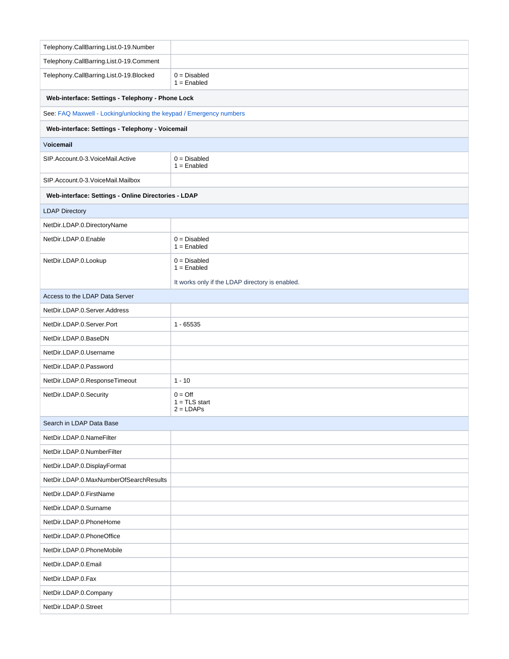| Telephony.CallBarring.List.0-19.Number                              |                                                    |  |  |
|---------------------------------------------------------------------|----------------------------------------------------|--|--|
| Telephony.CallBarring.List.0-19.Comment                             |                                                    |  |  |
| Telephony.CallBarring.List.0-19.Blocked                             | $0 = Disabled$<br>$1 =$ Enabled                    |  |  |
| Web-interface: Settings - Telephony - Phone Lock                    |                                                    |  |  |
| See: FAQ Maxwell - Locking/unlocking the keypad / Emergency numbers |                                                    |  |  |
|                                                                     | Web-interface: Settings - Telephony - Voicemail    |  |  |
| Voicemail                                                           |                                                    |  |  |
| SIP.Account.0-3.VoiceMail.Active                                    | $0 = Disabled$<br>$1 =$ Enabled                    |  |  |
| SIP.Account.0-3.VoiceMail.Mailbox                                   |                                                    |  |  |
| Web-interface: Settings - Online Directories - LDAP                 |                                                    |  |  |
| <b>LDAP Directory</b>                                               |                                                    |  |  |
| NetDir.LDAP.0.DirectoryName                                         |                                                    |  |  |
| NetDir.LDAP.0.Enable                                                | $0 = Disabled$<br>$1 =$ Enabled                    |  |  |
| NetDir.LDAP.0.Lookup                                                | $0 = Disabled$<br>$1 =$ Enabled                    |  |  |
|                                                                     | It works only if the LDAP directory is enabled.    |  |  |
| Access to the LDAP Data Server                                      |                                                    |  |  |
| NetDir.LDAP.0.Server.Address                                        |                                                    |  |  |
| NetDir.LDAP.0.Server.Port                                           | $1 - 65535$                                        |  |  |
| NetDir.LDAP.0.BaseDN                                                |                                                    |  |  |
| NetDir.LDAP.0.Username                                              |                                                    |  |  |
| NetDir.LDAP.0.Password                                              |                                                    |  |  |
| NetDir.LDAP.0.ResponseTimeout                                       | $1 - 10$                                           |  |  |
| NetDir.LDAP.0.Security                                              | $0 = \text{Off}$<br>$1 = TLS$ start<br>$2 = LDAPs$ |  |  |
| Search in LDAP Data Base                                            |                                                    |  |  |
| NetDir.LDAP.0.NameFilter                                            |                                                    |  |  |
| NetDir.LDAP.0.NumberFilter                                          |                                                    |  |  |
| NetDir.LDAP.0.DisplayFormat                                         |                                                    |  |  |
| NetDir.LDAP.0.MaxNumberOfSearchResults                              |                                                    |  |  |
| NetDir.LDAP.0.FirstName                                             |                                                    |  |  |
| NetDir.LDAP.0.Surname                                               |                                                    |  |  |
| NetDir.LDAP.0.PhoneHome                                             |                                                    |  |  |
| NetDir.LDAP.0.PhoneOffice                                           |                                                    |  |  |
| NetDir.LDAP.0.PhoneMobile                                           |                                                    |  |  |
| NetDir.LDAP.0.Email                                                 |                                                    |  |  |
| NetDir.LDAP.0.Fax                                                   |                                                    |  |  |
| NetDir.LDAP.0.Company                                               |                                                    |  |  |
| NetDir.LDAP.0.Street                                                |                                                    |  |  |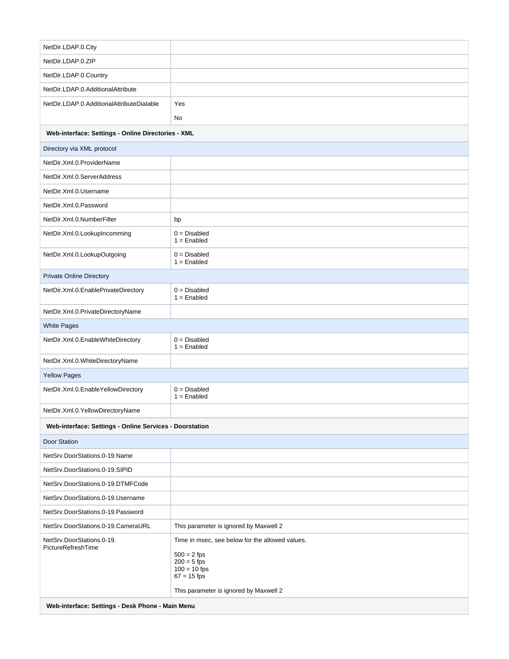| NetDir.LDAP.0.City                                      |                                                                                                                                                                |  |
|---------------------------------------------------------|----------------------------------------------------------------------------------------------------------------------------------------------------------------|--|
| NetDir.LDAP.0.ZIP                                       |                                                                                                                                                                |  |
| NetDir.LDAP.0.Country                                   |                                                                                                                                                                |  |
| NetDir.LDAP.0.AdditionalAttribute                       |                                                                                                                                                                |  |
| NetDir.LDAP.0.AdditionalAttributeDialable               | Yes                                                                                                                                                            |  |
|                                                         | No                                                                                                                                                             |  |
| Web-interface: Settings - Online Directories - XML      |                                                                                                                                                                |  |
| Directory via XML protocol                              |                                                                                                                                                                |  |
| NetDir.Xml.0.ProviderName                               |                                                                                                                                                                |  |
| NetDir.Xml.0.ServerAddress                              |                                                                                                                                                                |  |
| NetDir.Xml.0.Username                                   |                                                                                                                                                                |  |
| NetDir.Xml.0.Password                                   |                                                                                                                                                                |  |
| NetDir.Xml.0.NumberFilter                               | bp                                                                                                                                                             |  |
| NetDir.Xml.0.LookupIncomming                            | $0 = Disabled$<br>$1 =$ Enabled                                                                                                                                |  |
| NetDir.Xml.0.LookupOutgoing                             | $0 = Disabled$<br>$1 =$ Enabled                                                                                                                                |  |
| <b>Private Online Directory</b>                         |                                                                                                                                                                |  |
| NetDir.Xml.0.EnablePrivateDirectory                     | $0 = Disabled$<br>$1 =$ Enabled                                                                                                                                |  |
| NetDir.Xml.0.PrivateDirectoryName                       |                                                                                                                                                                |  |
| <b>White Pages</b>                                      |                                                                                                                                                                |  |
| NetDir.Xml.0.EnableWhiteDirectory                       | $0 = Disabled$<br>$1 =$ Enabled                                                                                                                                |  |
| NetDir.Xml.0.WhiteDirectoryName                         |                                                                                                                                                                |  |
| <b>Yellow Pages</b>                                     |                                                                                                                                                                |  |
| NetDir.Xml.0.EnableYellowDirectory                      | $0 = Disabled$<br>$1 =$ Enabled                                                                                                                                |  |
| NetDir.Xml.0.YellowDirectoryName                        |                                                                                                                                                                |  |
| Web-interface: Settings - Online Services - Doorstation |                                                                                                                                                                |  |
| Door Station                                            |                                                                                                                                                                |  |
| NetSrv.DoorStations.0-19.Name                           |                                                                                                                                                                |  |
| NetSrv.DoorStations.0-19.SIPID                          |                                                                                                                                                                |  |
| NetSrv.DoorStations.0-19.DTMFCode                       |                                                                                                                                                                |  |
| NetSrv.DoorStations.0-19.Username                       |                                                                                                                                                                |  |
| NetSrv.DoorStations.0-19.Password                       |                                                                                                                                                                |  |
| NetSrv.DoorStations.0-19.CameraURL                      | This parameter is ignored by Maxwell 2                                                                                                                         |  |
| NetSrv.DoorStations.0-19.<br>PictureRefreshTime         | Time in msec, see below for the allowed values.<br>$500 = 2$ fps<br>$200 = 5$ fps<br>$100 = 10$ fps<br>$67 = 15$ fps<br>This parameter is ignored by Maxwell 2 |  |
| Web-interface: Settings - Desk Phone - Main Menu        |                                                                                                                                                                |  |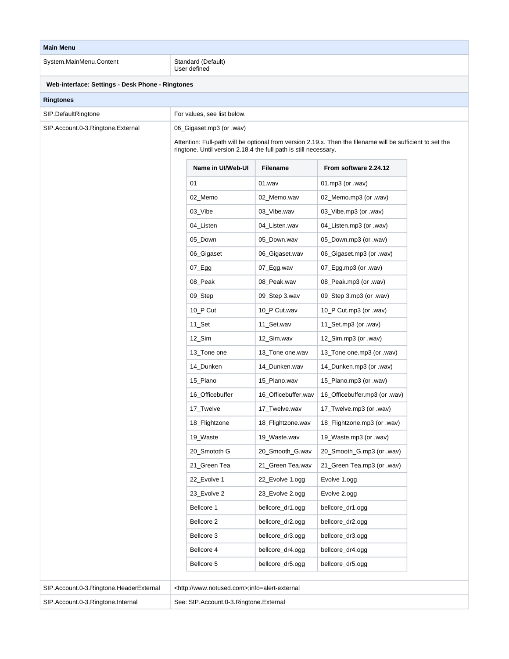| <b>Main Menu</b>                                 |                                                                                                                                                                                |                     |                               |  |
|--------------------------------------------------|--------------------------------------------------------------------------------------------------------------------------------------------------------------------------------|---------------------|-------------------------------|--|
| System.MainMenu.Content                          | Standard (Default)<br>User defined                                                                                                                                             |                     |                               |  |
| Web-interface: Settings - Desk Phone - Ringtones |                                                                                                                                                                                |                     |                               |  |
| <b>Ringtones</b>                                 |                                                                                                                                                                                |                     |                               |  |
| SIP.DefaultRingtone                              | For values, see list below.                                                                                                                                                    |                     |                               |  |
| SIP.Account.0-3.Ringtone.External                | 06_Gigaset.mp3 (or .wav)                                                                                                                                                       |                     |                               |  |
|                                                  | Attention: Full-path will be optional from version 2.19.x. Then the filename will be sufficient to set the<br>ringtone. Until version 2.18.4 the full path is still necessary. |                     |                               |  |
|                                                  | Name in UI/Web-UI                                                                                                                                                              | <b>Filename</b>     | From software 2.24.12         |  |
|                                                  | 01                                                                                                                                                                             | $01$ .wav           | 01.mp3 (or .wav)              |  |
|                                                  | 02_Memo                                                                                                                                                                        | 02_Memo.wav         | 02_Memo.mp3 (or .wav)         |  |
|                                                  | 03_Vibe                                                                                                                                                                        | 03_Vibe.wav         | 03_Vibe.mp3 (or .wav)         |  |
|                                                  | 04_Listen                                                                                                                                                                      | 04_Listen.wav       | 04_Listen.mp3 (or .wav)       |  |
|                                                  | 05_Down                                                                                                                                                                        | 05 Down.wav         | 05_Down.mp3 (or .wav)         |  |
|                                                  | 06_Gigaset                                                                                                                                                                     | 06_Gigaset.wav      | 06_Gigaset.mp3 (or .wav)      |  |
|                                                  | $07$ Egg                                                                                                                                                                       | 07_Egg.wav          | 07_Egg.mp3 (or .wav)          |  |
|                                                  | 08_Peak                                                                                                                                                                        | 08_Peak.wav         | 08_Peak.mp3 (or .wav)         |  |
|                                                  | 09_Step                                                                                                                                                                        | 09_Step 3.wav       | 09_Step 3.mp3 (or .wav)       |  |
|                                                  | 10_P Cut                                                                                                                                                                       | 10_P Cut.wav        | 10_P Cut.mp3 (or .wav)        |  |
|                                                  | 11_Set                                                                                                                                                                         | 11_Set.wav          | 11_Set.mp3 (or .wav)          |  |
|                                                  | $12$ _Sim                                                                                                                                                                      | 12_Sim.wav          | 12_Sim.mp3 (or .wav)          |  |
|                                                  | 13_Tone one                                                                                                                                                                    | 13_Tone one.wav     | 13_Tone one.mp3 (or .wav)     |  |
|                                                  | 14_Dunken                                                                                                                                                                      | 14_Dunken.wav       | 14_Dunken.mp3 (or .wav)       |  |
|                                                  | 15_Piano                                                                                                                                                                       | 15_Piano.wav        | 15_Piano.mp3 (or .wav)        |  |
|                                                  | 16_Officebuffer                                                                                                                                                                | 16_Officebuffer.wav | 16 Officebuffer.mp3 (or .wav) |  |
|                                                  | 17_Twelve                                                                                                                                                                      | 17 Twelve.wav       | 17_Twelve.mp3 (or .wav)       |  |
|                                                  | 18_Flightzone                                                                                                                                                                  | 18_Flightzone.wav   | 18_Flightzone.mp3 (or .wav)   |  |
|                                                  | 19_Waste                                                                                                                                                                       | 19_Waste.wav        | 19_Waste.mp3 (or .wav)        |  |
|                                                  | 20_Smototh G                                                                                                                                                                   | 20_Smooth_G.wav     | 20_Smooth_G.mp3 (or .wav)     |  |
|                                                  | 21_Green Tea                                                                                                                                                                   | 21_Green Tea.wav    | 21_Green Tea.mp3 (or .wav)    |  |
|                                                  | 22_Evolve 1                                                                                                                                                                    | 22_Evolve 1.ogg     | Evolve 1.ogg                  |  |
|                                                  | 23_Evolve 2                                                                                                                                                                    | 23_Evolve 2.ogg     | Evolve 2.ogg                  |  |
|                                                  | Bellcore 1                                                                                                                                                                     | bellcore_dr1.ogg    | bellcore_dr1.ogg              |  |
|                                                  | Bellcore 2                                                                                                                                                                     | bellcore_dr2.ogg    | bellcore_dr2.ogg              |  |
|                                                  | Bellcore 3                                                                                                                                                                     | bellcore_dr3.ogg    | bellcore_dr3.ogg              |  |
|                                                  | Bellcore 4                                                                                                                                                                     | bellcore_dr4.ogg    | bellcore_dr4.ogg              |  |
|                                                  | Bellcore 5                                                                                                                                                                     | bellcore_dr5.ogg    | bellcore_dr5.ogg              |  |
|                                                  |                                                                                                                                                                                |                     |                               |  |
| SIP.Account.0-3.Ringtone.HeaderExternal          | <http: www.notused.com="">;info=alert-external</http:>                                                                                                                         |                     |                               |  |
| SIP.Account.0-3.Ringtone.Internal                | See: SIP.Account.0-3.Ringtone.External                                                                                                                                         |                     |                               |  |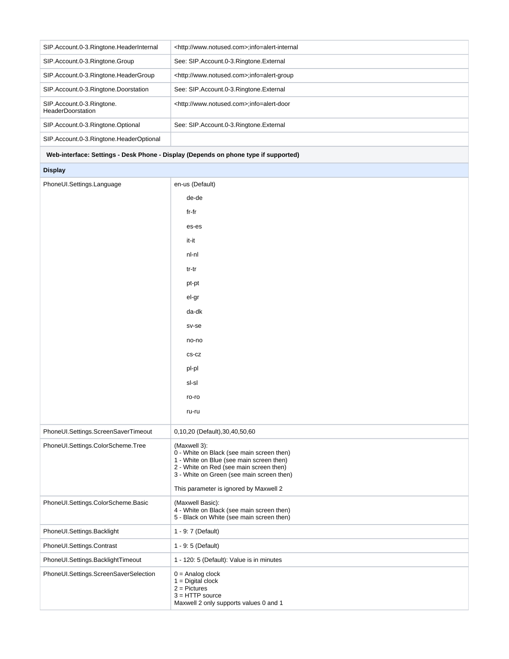| SIP.Account.0-3.Ringtone.HeaderInternal               | <http: www.notused.com="">;info=alert-internal</http:> |
|-------------------------------------------------------|--------------------------------------------------------|
| SIP.Account.0-3.Ringtone.Group                        | See: SIP.Account.0-3.Ringtone.External                 |
| SIP.Account.0-3.Ringtone.HeaderGroup                  | <http: www.notused.com="">;info=alert-group</http:>    |
| SIP.Account.0-3.Ringtone.Doorstation                  | See: SIP.Account.0-3.Ringtone.External                 |
| SIP.Account.0-3.Ringtone.<br><b>HeaderDoorstation</b> | <http: www.notused.com="">;info=alert-door</http:>     |
| SIP.Account.0-3.Ringtone.Optional                     | See: SIP.Account.0-3.Ringtone.External                 |
| SIP.Account.0-3.Ringtone.HeaderOptional               |                                                        |

## **Web-interface: Settings - Desk Phone - Display (Depends on phone type if supported)**

## **Display**

| PhoneUI.Settings.Language             | en-us (Default)                                                                                                                                                                                                                         |
|---------------------------------------|-----------------------------------------------------------------------------------------------------------------------------------------------------------------------------------------------------------------------------------------|
|                                       | de-de                                                                                                                                                                                                                                   |
|                                       | fr-fr                                                                                                                                                                                                                                   |
|                                       | es-es                                                                                                                                                                                                                                   |
|                                       | it-it                                                                                                                                                                                                                                   |
|                                       | nl-nl                                                                                                                                                                                                                                   |
|                                       | tr-tr                                                                                                                                                                                                                                   |
|                                       | pt-pt                                                                                                                                                                                                                                   |
|                                       | el-gr                                                                                                                                                                                                                                   |
|                                       | da-dk                                                                                                                                                                                                                                   |
|                                       | sv-se                                                                                                                                                                                                                                   |
|                                       | no-no                                                                                                                                                                                                                                   |
|                                       | $CS-CZ$                                                                                                                                                                                                                                 |
|                                       | pl-pl                                                                                                                                                                                                                                   |
|                                       | sl-sl                                                                                                                                                                                                                                   |
|                                       | ro-ro                                                                                                                                                                                                                                   |
|                                       | ru-ru                                                                                                                                                                                                                                   |
| PhoneUI.Settings.ScreenSaverTimeout   | 0,10,20 (Default),30,40,50,60                                                                                                                                                                                                           |
| PhoneUI.Settings.ColorScheme.Tree     | (Maxwell 3):<br>0 - White on Black (see main screen then)<br>1 - White on Blue (see main screen then)<br>2 - White on Red (see main screen then)<br>3 - White on Green (see main screen then)<br>This parameter is ignored by Maxwell 2 |
| PhoneUI.Settings.ColorScheme.Basic    | (Maxwell Basic):<br>4 - White on Black (see main screen then)<br>5 - Black on White (see main screen then)                                                                                                                              |
| PhoneUI.Settings.Backlight            | 1 - 9: 7 (Default)                                                                                                                                                                                                                      |
| PhoneUI.Settings.Contrast             | 1 - 9: 5 (Default)                                                                                                                                                                                                                      |
| PhoneUI.Settings.BacklightTimeout     | 1 - 120: 5 (Default): Value is in minutes                                                                                                                                                                                               |
| PhoneUI.Settings.ScreenSaverSelection | $0 =$ Analog clock<br>$1 = Digital clock$<br>$2 =$ Pictures<br>$3 = HTTP$ source<br>Maxwell 2 only supports values 0 and 1                                                                                                              |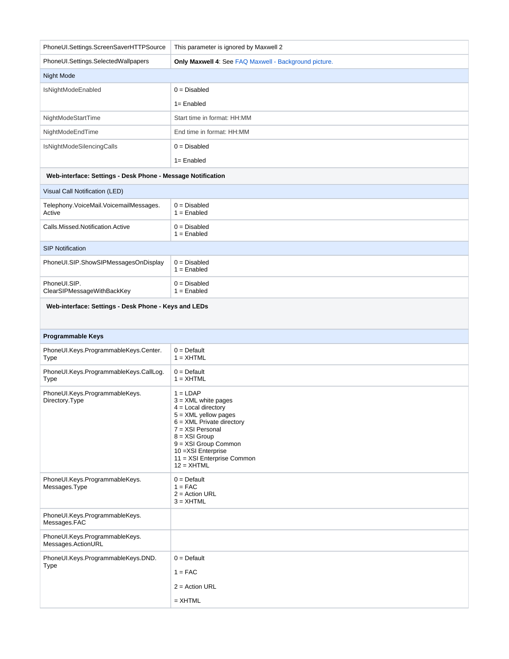| PhoneUI.Settings.ScreenSaverHTTPSource                      | This parameter is ignored by Maxwell 2                                                                                                                                                                                                                    |
|-------------------------------------------------------------|-----------------------------------------------------------------------------------------------------------------------------------------------------------------------------------------------------------------------------------------------------------|
| PhoneUI.Settings.SelectedWallpapers                         | Only Maxwell 4: See FAQ Maxwell - Background picture.                                                                                                                                                                                                     |
| Night Mode                                                  |                                                                                                                                                                                                                                                           |
| IsNightModeEnabled                                          | $0 = Disabled$                                                                                                                                                                                                                                            |
|                                                             | $1 =$ Enabled                                                                                                                                                                                                                                             |
| NightModeStartTime                                          | Start time in format: HH:MM                                                                                                                                                                                                                               |
| NightModeEndTime                                            | End time in format: HH:MM                                                                                                                                                                                                                                 |
| IsNightModeSilencingCalls                                   | $0 = Disabled$                                                                                                                                                                                                                                            |
|                                                             | $1 =$ Enabled                                                                                                                                                                                                                                             |
| Web-interface: Settings - Desk Phone - Message Notification |                                                                                                                                                                                                                                                           |
| Visual Call Notification (LED)                              |                                                                                                                                                                                                                                                           |
| Telephony.VoiceMail.VoicemailMessages.<br>Active            | $0 = Disabled$<br>$1 =$ Enabled                                                                                                                                                                                                                           |
| Calls.Missed.Notification.Active                            | $0 = Disabled$<br>$1 =$ Enabled                                                                                                                                                                                                                           |
| <b>SIP Notification</b>                                     |                                                                                                                                                                                                                                                           |
| PhoneUI.SIP.ShowSIPMessagesOnDisplay                        | $0 = Disabled$<br>$1 =$ Enabled                                                                                                                                                                                                                           |
| PhoneUI.SIP.<br>ClearSIPMessageWithBackKey                  | $0 = Disabled$<br>$1 =$ Enabled                                                                                                                                                                                                                           |
| Web-interface: Settings - Desk Phone - Keys and LEDs        |                                                                                                                                                                                                                                                           |
| Programmable Keys                                           |                                                                                                                                                                                                                                                           |
| PhoneUI.Keys.ProgrammableKeys.Center.                       | $0 = \text{Default}$                                                                                                                                                                                                                                      |
| Type                                                        | $1 = XHTML$                                                                                                                                                                                                                                               |
| PhoneUI.Keys.ProgrammableKeys.CallLog.<br>Type              | $0 =$ Default<br>$1 = XHTML$                                                                                                                                                                                                                              |
| PhoneUI.Keys.ProgrammableKeys.<br>Directory.Type            | $1 = LDAP$<br>$3 = XML$ white pages<br>$4 =$ Local directory<br>$5 = XML$ yellow pages<br>$6 = XML$ Private directory<br>7 = XSI Personal<br>$8 = XSI$ Group<br>9 = XSI Group Common<br>10 = XSI Enterprise<br>11 = XSI Enterprise Common<br>$12 = XHTML$ |
| PhoneUI.Keys.ProgrammableKeys.<br>Messages.Type             | $0 = Default$<br>$1 = FAC$<br>$2 =$ Action URL<br>$3 = XHTML$                                                                                                                                                                                             |
| PhoneUI.Keys.ProgrammableKeys.<br>Messages.FAC              |                                                                                                                                                                                                                                                           |
| PhoneUI.Keys.ProgrammableKeys.<br>Messages.ActionURL        |                                                                                                                                                                                                                                                           |
| PhoneUI.Keys.ProgrammableKeys.DND.<br>Type                  | $0 =$ Default<br>$1 = FAC$<br>$2 =$ Action URL<br>$=$ XHTML                                                                                                                                                                                               |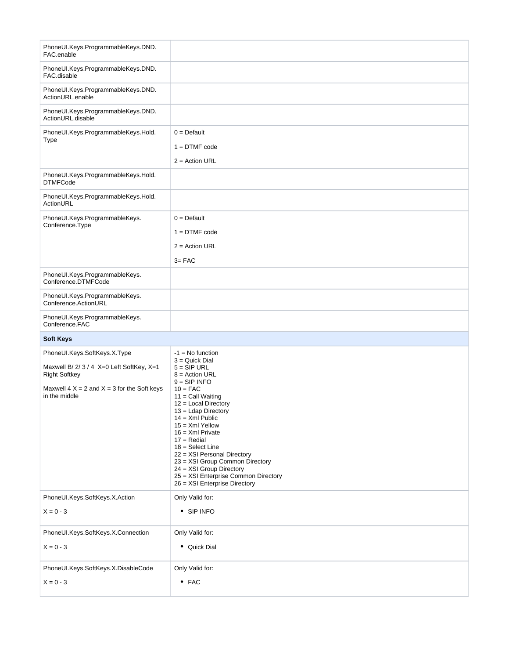| PhoneUI.Keys.ProgrammableKeys.DND.<br>FAC.enable                 |                                                                                                                                                      |
|------------------------------------------------------------------|------------------------------------------------------------------------------------------------------------------------------------------------------|
| PhoneUI.Keys.ProgrammableKeys.DND.<br>FAC.disable                |                                                                                                                                                      |
| PhoneUI.Keys.ProgrammableKeys.DND.<br>ActionURL.enable           |                                                                                                                                                      |
| PhoneUI.Keys.ProgrammableKeys.DND.<br>ActionURL.disable          |                                                                                                                                                      |
| PhoneUI.Keys.ProgrammableKeys.Hold.<br>Type                      | $0 =$ Default                                                                                                                                        |
|                                                                  | $1 = DTIME code$                                                                                                                                     |
|                                                                  | $2 =$ Action URL                                                                                                                                     |
| PhoneUI.Keys.ProgrammableKeys.Hold.<br><b>DTMFCode</b>           |                                                                                                                                                      |
| PhoneUI.Keys.ProgrammableKeys.Hold.<br>ActionURL                 |                                                                                                                                                      |
| PhoneUI.Keys.ProgrammableKeys.<br>Conference.Type                | $0 =$ Default                                                                                                                                        |
|                                                                  | $1 = DTIME code$                                                                                                                                     |
|                                                                  | $2 =$ Action URL                                                                                                                                     |
|                                                                  | $3 = FAC$                                                                                                                                            |
| PhoneUI.Keys.ProgrammableKeys.<br>Conference.DTMFCode            |                                                                                                                                                      |
| PhoneUI.Keys.ProgrammableKeys.<br>Conference.ActionURL           |                                                                                                                                                      |
| PhoneUI.Keys.ProgrammableKeys.<br>Conference.FAC                 |                                                                                                                                                      |
| <b>Soft Keys</b>                                                 |                                                                                                                                                      |
| PhoneUI.Keys.SoftKeys.X.Type                                     | $-1$ = No function<br>$3 =$ Quick Dial                                                                                                               |
| Maxwell B/2/3/4 X=0 Left SoftKey, X=1<br><b>Right Softkey</b>    | $5 =$ SIP URL<br>$8 =$ Action URL<br>$9 =$ SIP INFO                                                                                                  |
| Maxwell $4 X = 2$ and $X = 3$ for the Soft keys<br>in the middle | $10 = FAC$<br>$11 =$ Call Waiting<br>$12$ = Local Directory<br>$13 =$ Ldap Directory<br>$14 =$ Xml Public<br>$15 =$ Xml Yellow<br>$16 =$ Xml Private |
|                                                                  | $17 =$ Redial<br>$18 =$ Select Line                                                                                                                  |
|                                                                  | 22 = XSI Personal Directory<br>23 = XSI Group Common Directory<br>24 = XSI Group Directory                                                           |
|                                                                  | 25 = XSI Enterprise Common Directory<br>26 = XSI Enterprise Directory                                                                                |
| PhoneUI.Keys.SoftKeys.X.Action                                   | Only Valid for:                                                                                                                                      |
| $X = 0 - 3$                                                      | • SIP INFO                                                                                                                                           |
| PhoneUI.Keys.SoftKeys.X.Connection                               | Only Valid for:                                                                                                                                      |
| $X = 0 - 3$                                                      | • Quick Dial                                                                                                                                         |
| PhoneUI.Keys.SoftKeys.X.DisableCode                              | Only Valid for:                                                                                                                                      |
| $X = 0 - 3$                                                      | $•$ FAC                                                                                                                                              |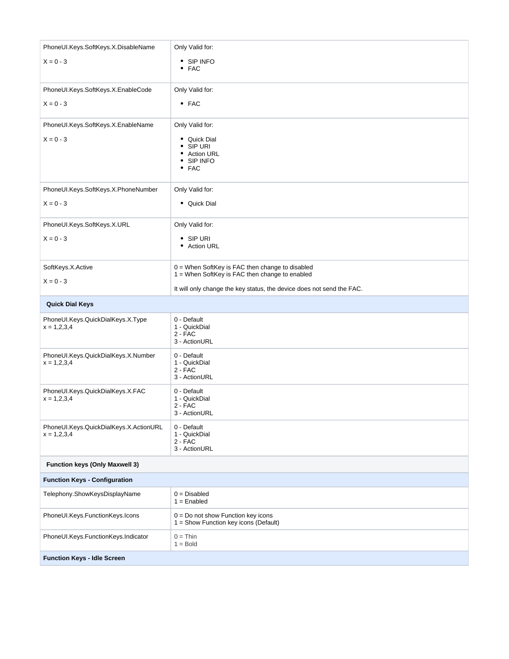| PhoneUI.Keys.SoftKeys.X.DisableName                     | Only Valid for:                                                                                     |
|---------------------------------------------------------|-----------------------------------------------------------------------------------------------------|
| $X = 0 - 3$                                             | • SIP INFO<br>$\bullet$ FAC                                                                         |
| PhoneUI.Keys.SoftKeys.X.EnableCode                      | Only Valid for:                                                                                     |
| $X = 0 - 3$                                             | $•$ FAC                                                                                             |
| PhoneUI.Keys.SoftKeys.X.EnableName                      | Only Valid for:                                                                                     |
| $X = 0 - 3$                                             | • Quick Dial<br>$\bullet$ SIP URI<br>• Action URL<br>• SIP INFO<br>$•$ FAC                          |
| PhoneUI.Keys.SoftKeys.X.PhoneNumber                     | Only Valid for:                                                                                     |
| $X = 0 - 3$                                             | • Quick Dial                                                                                        |
| PhoneUI.Keys.SoftKeys.X.URL                             | Only Valid for:                                                                                     |
| $X = 0 - 3$                                             | $\bullet$ SIP URI<br>• Action URL                                                                   |
| SoftKeys.X.Active                                       | $0 =$ When SoftKey is FAC then change to disabled<br>1 = When SoftKey is FAC then change to enabled |
| $X = 0 - 3$                                             | It will only change the key status, the device does not send the FAC.                               |
| <b>Quick Dial Keys</b>                                  |                                                                                                     |
|                                                         |                                                                                                     |
| PhoneUI.Keys.QuickDialKeys.X.Type<br>$x = 1,2,3,4$      | 0 - Default<br>1 - QuickDial<br>$2 - FAC$<br>3 - ActionURL                                          |
| PhoneUI.Keys.QuickDialKeys.X.Number<br>$x = 1,2,3,4$    | 0 - Default<br>1 - QuickDial<br>$2 - FAC$<br>3 - ActionURL                                          |
| PhoneUI.Keys.QuickDialKeys.X.FAC<br>$x = 1,2,3,4$       | 0 - Default<br>1 - QuickDial<br>$2 - FAC$<br>3 - ActionURL                                          |
| PhoneUI.Keys.QuickDialKeys.X.ActionURL<br>$x = 1,2,3,4$ | 0 - Default<br>1 - QuickDial<br>$2 - FAC$<br>3 - ActionURL                                          |
| <b>Function keys (Only Maxwell 3)</b>                   |                                                                                                     |
| <b>Function Keys - Configuration</b>                    |                                                                                                     |
| Telephony.ShowKeysDisplayName                           | $0 = Disabled$<br>$1 =$ Enabled                                                                     |
| PhoneUI.Keys.FunctionKeys.Icons                         | $0 = Do$ not show Function key icons<br>1 = Show Function key icons (Default)                       |
| PhoneUI.Keys.FunctionKeys.Indicator                     | $0 = Thin$<br>$1 =$ Bold                                                                            |
| <b>Function Keys - Idle Screen</b>                      |                                                                                                     |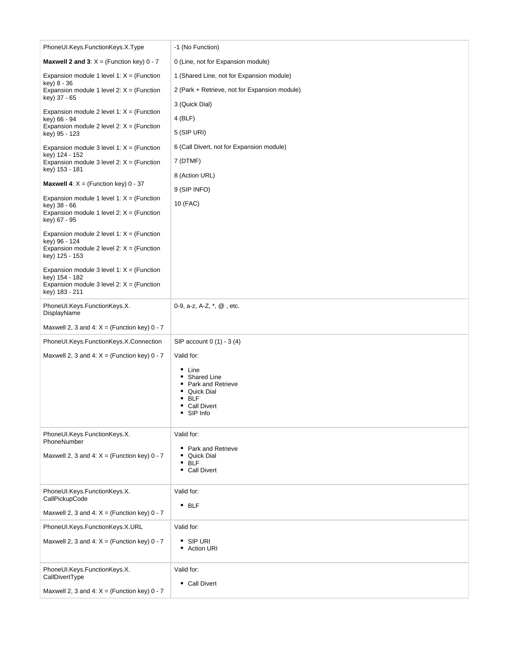| PhoneUI.Keys.FunctionKeys.X.Type                              | -1 (No Function)                              |
|---------------------------------------------------------------|-----------------------------------------------|
| <b>Maxwell 2 and 3:</b> $X = (Function key) 0 - 7$            | 0 (Line, not for Expansion module)            |
| Expansion module 1 level 1: $X = (Function$                   | 1 (Shared Line, not for Expansion module)     |
| key) 8 - 36<br>Expansion module 1 level 2: $X = (Function$    | 2 (Park + Retrieve, not for Expansion module) |
| key) 37 - 65                                                  | 3 (Quick Dial)                                |
| Expansion module 2 level 1: $X = (Function$<br>key) 66 - 94   | 4 (BLF)                                       |
| Expansion module 2 level 2: $X =$ (Function<br>key) 95 - 123  | 5 (SIP URI)                                   |
| Expansion module 3 level 1: $X =$ (Function                   | 6 (Call Divert, not for Expansion module)     |
| key) 124 - 152<br>Expansion module 3 level 2: $X = (Function$ | 7 (DTMF)                                      |
| key) 153 - 181                                                | 8 (Action URL)                                |
| <b>Maxwell 4:</b> $X = (Function key) 0 - 37$                 | 9 (SIP INFO)                                  |
| Expansion module 1 level 1: $X = (Function$<br>key) 38 - 66   | 10 (FAC)                                      |
| Expansion module 1 level 2: $X = (Function$<br>key) 67 - 95   |                                               |
| Expansion module 2 level 1: $X =$ (Function                   |                                               |
| key) 96 - 124<br>Expansion module 2 level 2: $X =$ (Function  |                                               |
| key) 125 - 153                                                |                                               |
| Expansion module 3 level 1: $X =$ (Function<br>key) 154 - 182 |                                               |
| Expansion module 3 level 2: $X = (Function$<br>key) 183 - 211 |                                               |
| PhoneUI.Keys.FunctionKeys.X.                                  | 0-9, a-z, A-Z, *, @, etc.                     |
| DisplayName                                                   |                                               |
| Maxwell 2, 3 and 4: $X =$ (Function key) 0 - 7                |                                               |
| PhoneUI.Keys.FunctionKeys.X.Connection                        | SIP account 0 (1) - 3 (4)                     |
| Maxwell 2, 3 and 4: $X =$ (Function key) 0 - 7                | Valid for:                                    |
|                                                               | $\bullet$ Line<br>• Shared Line               |
|                                                               | • Park and Retrieve<br>• Quick Dial           |
|                                                               | <b>BLF</b><br><b>Call Divert</b>              |
|                                                               | SIP Info                                      |
| PhoneUI.Keys.FunctionKeys.X.                                  | Valid for:                                    |
| PhoneNumber                                                   | • Park and Retrieve                           |
| Maxwell 2, 3 and 4: $X =$ (Function key) 0 - 7                | Quick Dial<br><b>BLF</b><br>٠                 |
|                                                               | • Call Divert                                 |
| PhoneUI.Keys.FunctionKeys.X.                                  | Valid for:                                    |
| CallPickupCode                                                | $•$ BLF                                       |
| Maxwell 2, 3 and 4: $X =$ (Function key) 0 - 7                |                                               |
| PhoneUI.Keys.FunctionKeys.X.URL                               | Valid for:                                    |
| Maxwell 2, 3 and 4: $X =$ (Function key) 0 - 7                | $\bullet$ SIP URI<br>• Action URI             |
|                                                               |                                               |
| PhoneUI.Keys.FunctionKeys.X.<br>CallDivertType                | Valid for:                                    |
|                                                               | • Call Divert                                 |
|                                                               |                                               |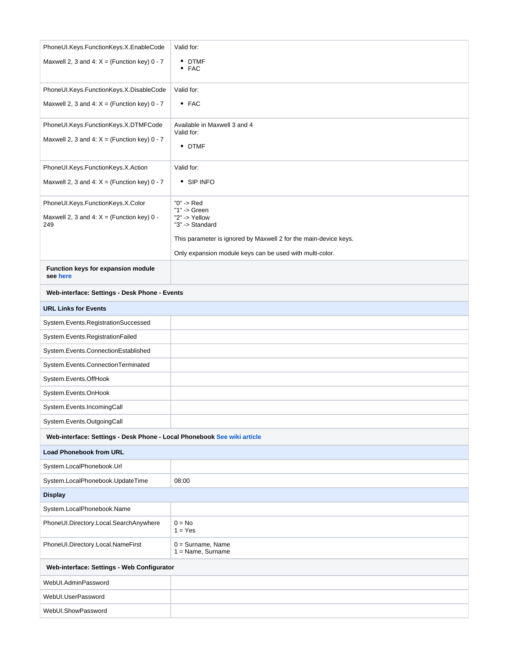| PhoneUI.Keys.FunctionKeys.X.EnableCode                                  | Valid for:                                                       |
|-------------------------------------------------------------------------|------------------------------------------------------------------|
| Maxwell 2, 3 and 4: $X =$ (Function key) 0 - 7                          | • DTMF<br>$•$ FAC                                                |
| PhoneUI.Keys.FunctionKeys.X.DisableCode                                 | Valid for:                                                       |
| Maxwell 2, 3 and 4: $X =$ (Function key) 0 - 7                          | $•$ FAC                                                          |
| PhoneUI.Keys.FunctionKeys.X.DTMFCode                                    | Available in Maxwell 3 and 4                                     |
| Maxwell 2, 3 and 4: $X =$ (Function key) 0 - 7                          | Valid for:<br>• DTMF                                             |
| PhoneUI.Keys.FunctionKeys.X.Action                                      | Valid for:                                                       |
| Maxwell 2, 3 and 4: $X =$ (Function key) 0 - 7                          | • SIP INFO                                                       |
| PhoneUI.Keys.FunctionKeys.X.Color                                       | "0" -> Red                                                       |
| Maxwell 2, 3 and 4: $X =$ (Function key) 0 -<br>249                     | "1" $\rightarrow$ Green<br>"2" -> Yellow<br>"3" -> Standard      |
|                                                                         | This parameter is ignored by Maxwell 2 for the main-device keys. |
|                                                                         | Only expansion module keys can be used with multi-color.         |
| Function keys for expansion module<br>see here                          |                                                                  |
| Web-interface: Settings - Desk Phone - Events                           |                                                                  |
| <b>URL Links for Events</b>                                             |                                                                  |
| System.Events.RegistrationSuccessed                                     |                                                                  |
| System.Events.RegistrationFailed                                        |                                                                  |
| System.Events.ConnectionEstablished                                     |                                                                  |
| System.Events.ConnectionTerminated                                      |                                                                  |
| System.Events.OffHook                                                   |                                                                  |
| System.Events.OnHook                                                    |                                                                  |
| System.Events.IncomingCall                                              |                                                                  |
| System.Events.OutgoingCall                                              |                                                                  |
| Web-interface: Settings - Desk Phone - Local Phonebook See wiki article |                                                                  |
| <b>Load Phonebook from URL</b>                                          |                                                                  |
| System.LocalPhonebook.Url                                               |                                                                  |
| System.LocalPhonebook.UpdateTime                                        | 08:00                                                            |
| <b>Display</b>                                                          |                                                                  |
| System.LocalPhonebook.Name                                              |                                                                  |
| PhoneUI.Directory.Local.SearchAnywhere                                  | $0 = No$<br>$1 = Yes$                                            |
| PhoneUI.Directory.Local.NameFirst                                       | $0 =$ Surname, Name<br>$1 = Name$ , Surname                      |
| Web-interface: Settings - Web Configurator                              |                                                                  |
| WebUI.AdminPassword                                                     |                                                                  |
| WebUI.UserPassword                                                      |                                                                  |
| WebUI.ShowPassword                                                      |                                                                  |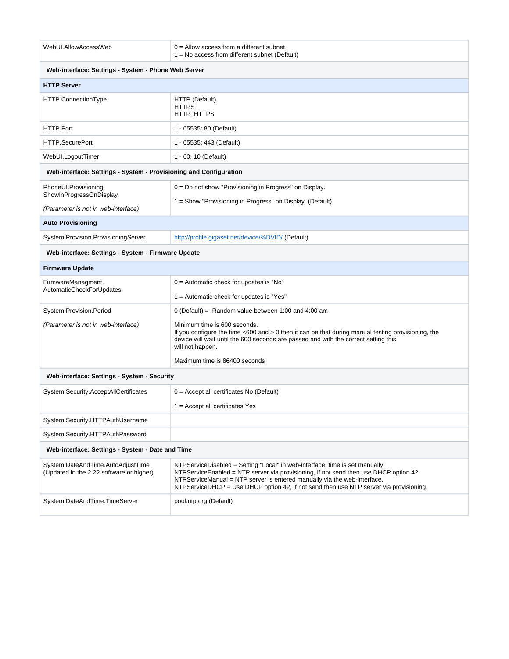| WebUI.AllowAccessWeb                                                          | $0 =$ Allow access from a different subnet<br>$1 = No$ access from different subnet (Default)                                                                                                                                                                                                                                                |
|-------------------------------------------------------------------------------|----------------------------------------------------------------------------------------------------------------------------------------------------------------------------------------------------------------------------------------------------------------------------------------------------------------------------------------------|
| Web-interface: Settings - System - Phone Web Server                           |                                                                                                                                                                                                                                                                                                                                              |
| <b>HTTP Server</b>                                                            |                                                                                                                                                                                                                                                                                                                                              |
| HTTP.ConnectionType                                                           | HTTP (Default)<br><b>HTTPS</b><br>HTTP_HTTPS                                                                                                                                                                                                                                                                                                 |
| HTTP.Port                                                                     | 1 - 65535: 80 (Default)                                                                                                                                                                                                                                                                                                                      |
| HTTP.SecurePort                                                               | 1 - 65535: 443 (Default)                                                                                                                                                                                                                                                                                                                     |
| WebUI.LogoutTimer                                                             | 1 - 60: 10 (Default)                                                                                                                                                                                                                                                                                                                         |
| Web-interface: Settings - System - Provisioning and Configuration             |                                                                                                                                                                                                                                                                                                                                              |
| PhoneUI.Provisioning.<br>ShowInProgressOnDisplay                              | $0 = Do$ not show "Provisioning in Progress" on Display.<br>1 = Show "Provisioning in Progress" on Display. (Default)                                                                                                                                                                                                                        |
| (Parameter is not in web-interface)                                           |                                                                                                                                                                                                                                                                                                                                              |
| <b>Auto Provisioning</b>                                                      |                                                                                                                                                                                                                                                                                                                                              |
| System.Provision.ProvisioningServer                                           | http://profile.gigaset.net/device/%DVID/ (Default)                                                                                                                                                                                                                                                                                           |
| Web-interface: Settings - System - Firmware Update                            |                                                                                                                                                                                                                                                                                                                                              |
| <b>Firmware Update</b>                                                        |                                                                                                                                                                                                                                                                                                                                              |
| FirmwareManagment.<br>AutomaticCheckForUpdates                                | $0 =$ Automatic check for updates is "No"<br>$1 =$ Automatic check for updates is "Yes"                                                                                                                                                                                                                                                      |
| System.Provision.Period<br>(Parameter is not in web-interface)                | $0$ (Default) = Random value between 1:00 and 4:00 am<br>Minimum time is 600 seconds.<br>If you configure the time $<$ 600 and $>$ 0 then it can be that during manual testing provisioning, the<br>device will wait until the 600 seconds are passed and with the correct setting this<br>will not happen.<br>Maximum time is 86400 seconds |
| Web-interface: Settings - System - Security                                   |                                                                                                                                                                                                                                                                                                                                              |
| System.Security.AcceptAllCertificates                                         | $0 =$ Accept all certificates No (Default)<br>$1 =$ Accept all certificates Yes                                                                                                                                                                                                                                                              |
| System.Security.HTTPAuthUsername                                              |                                                                                                                                                                                                                                                                                                                                              |
| System.Security.HTTPAuthPassword                                              |                                                                                                                                                                                                                                                                                                                                              |
| Web-interface: Settings - System - Date and Time                              |                                                                                                                                                                                                                                                                                                                                              |
| System.DateAndTime.AutoAdjustTime<br>(Updated in the 2.22 software or higher) | NTPServiceDisabled = Setting "Local" in web-interface, time is set manually.<br>NTPServiceEnabled = NTP server via provisioning, if not send then use DHCP option 42<br>NTPServiceManual = NTP server is entered manually via the web-interface.<br>NTPServiceDHCP = Use DHCP option 42, if not send then use NTP server via provisioning.   |
| System.DateAndTime.TimeServer                                                 | pool.ntp.org (Default)                                                                                                                                                                                                                                                                                                                       |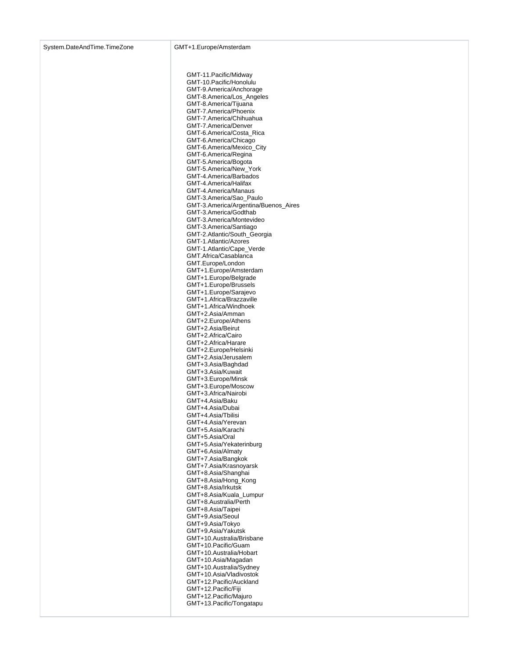GMT-11.Pacific/Midway GMT-10.Pacific/Honolulu GMT-9.America/Anchorage GMT-8.America/Los\_Angeles GMT-8.America/Tijuana GMT-7.America/Phoenix GMT-7.America/Chihuahua GMT-7.America/Denver GMT-6.America/Costa\_Rica GMT-6.America/Chicago GMT-6.America/Mexico\_City GMT-6.America/Regina GMT-5.America/Bogota GMT-5.America/New\_York GMT-4.America/Barbados GMT-4.America/Halifax GMT-4.America/Manaus GMT-3.America/Sao\_Paulo GMT-3.America/Argentina/Buenos\_Aires GMT-3.America/Godthab GMT-3.America/Montevideo GMT-3.America/Santiago GMT-2.Atlantic/South\_Georgia GMT-1.Atlantic/Azores GMT-1.Atlantic/Cape\_Verde GMT.Africa/Casablanca GMT.Europe/London GMT+1.Europe/Amsterdam GMT+1.Europe/Belgrade GMT+1.Europe/Brussels GMT+1.Europe/Sarajevo GMT+1.Africa/Brazzaville GMT+1.Africa/Windhoek GMT+2.Asia/Amman GMT+2.Europe/Athens GMT+2.Asia/Beirut GMT+2.Africa/Cairo GMT+2.Africa/Harare GMT+2.Europe/Helsinki GMT+2.Asia/Jerusalem GMT+3.Asia/Baghdad GMT+3.Asia/Kuwait GMT+3.Europe/Minsk GMT+3.Europe/Moscow GMT+3.Africa/Nairobi GMT+4.Asia/Baku GMT+4.Asia/Dubai GMT+4.Asia/Tbilisi GMT+4.Asia/Yerevan GMT+5.Asia/Karachi GMT+5.Asia/Oral GMT+5.Asia/Yekaterinburg GMT+6.Asia/Almaty GMT+7.Asia/Bangkok GMT+7.Asia/Krasnoyarsk GMT+8.Asia/Shanghai GMT+8.Asia/Hong\_Kong GMT+8.Asia/Irkutsk GMT+8.Asia/Kuala\_Lumpur GMT+8.Australia/Perth GMT+8.Asia/Taipei GMT+9.Asia/Seoul GMT+9.Asia/Tokyo GMT+9.Asia/Yakutsk GMT+10.Australia/Brisbane GMT+10.Pacific/Guam GMT+10.Australia/Hobart GMT+10.Asia/Magadan GMT+10.Australia/Sydney GMT+10.Asia/Vladivostok GMT+12.Pacific/Auckland GMT+12.Pacific/Fiji GMT+12.Pacific/Majuro GMT+13.Pacific/Tongatapu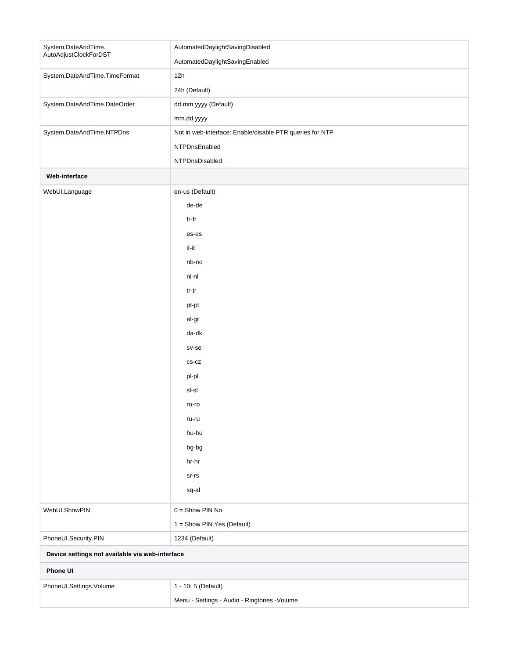| System.DateAndTime.<br>AutoAdjustClockForDST    | AutomatedDaylightSavingDisabled                          |
|-------------------------------------------------|----------------------------------------------------------|
|                                                 | AutomatedDaylightSavingEnabled                           |
| System.DateAndTime.TimeFormat                   | 12h                                                      |
|                                                 | 24h (Default)                                            |
| System.DateAndTime.DateOrder                    | dd.mm.yyyy (Default)                                     |
|                                                 | mm.dd.yyyy                                               |
| System.DateAndTime.NTPDns                       | Not in web-interface: Enable/disable PTR queries for NTP |
|                                                 | NTPDnsEnabled                                            |
|                                                 | NTPDnsDisabled                                           |
| Web-interface                                   |                                                          |
| WebUI.Language                                  | en-us (Default)                                          |
|                                                 | de-de                                                    |
|                                                 | fr-fr                                                    |
|                                                 | es-es                                                    |
|                                                 | it-it                                                    |
|                                                 | nb-no                                                    |
|                                                 | nl-nl                                                    |
|                                                 | tr-tr                                                    |
|                                                 | pt-pt                                                    |
|                                                 | el-gr                                                    |
|                                                 | da-dk                                                    |
|                                                 | sv-se                                                    |
|                                                 | $CS-CZ$                                                  |
|                                                 | pl-pl                                                    |
|                                                 | sl-sl                                                    |
|                                                 | ro-ro                                                    |
|                                                 | ru-ru                                                    |
|                                                 | hu-hu                                                    |
|                                                 | bg-bg                                                    |
|                                                 | hr-hr                                                    |
|                                                 | $sr-rs$                                                  |
|                                                 | sq-al                                                    |
| WebUI.ShowPIN                                   | $0 =$ Show PIN No                                        |
|                                                 | 1 = Show PIN Yes (Default)                               |
| PhoneUI.Security.PIN                            | 1234 (Default)                                           |
| Device settings not available via web-interface |                                                          |
| Phone UI                                        |                                                          |
| PhoneUI.Settings.Volume                         | 1 - 10: 5 (Default)                                      |
|                                                 | Menu - Settings - Audio - Ringtones - Volume             |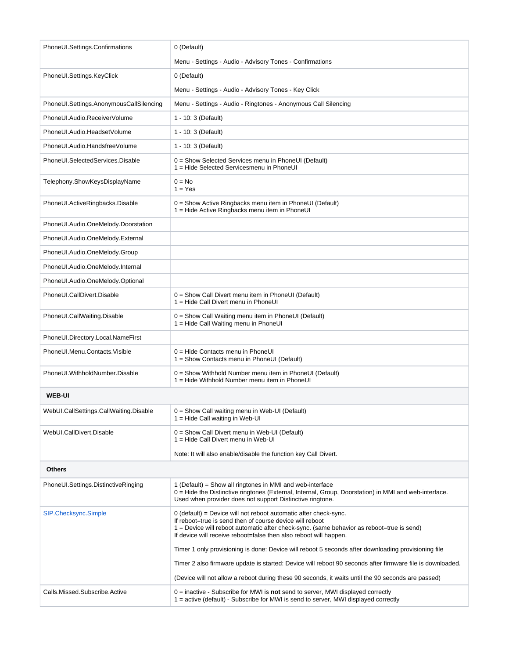| PhoneUI.Settings.Confirmations          | 0 (Default)                                                                                                                                                                                                                                                                                    |
|-----------------------------------------|------------------------------------------------------------------------------------------------------------------------------------------------------------------------------------------------------------------------------------------------------------------------------------------------|
|                                         | Menu - Settings - Audio - Advisory Tones - Confirmations                                                                                                                                                                                                                                       |
| PhoneUI.Settings.KeyClick               | 0 (Default)                                                                                                                                                                                                                                                                                    |
|                                         | Menu - Settings - Audio - Advisory Tones - Key Click                                                                                                                                                                                                                                           |
| PhoneUI.Settings.AnonymousCallSilencing | Menu - Settings - Audio - Ringtones - Anonymous Call Silencing                                                                                                                                                                                                                                 |
| PhoneUI.Audio.ReceiverVolume            | 1 - 10: 3 (Default)                                                                                                                                                                                                                                                                            |
| PhoneUI.Audio.HeadsetVolume             | 1 - 10: 3 (Default)                                                                                                                                                                                                                                                                            |
| PhoneUI.Audio.HandsfreeVolume           | 1 - 10: 3 (Default)                                                                                                                                                                                                                                                                            |
| PhoneUI.SelectedServices.Disable        | $0 =$ Show Selected Services menu in PhoneUI (Default)<br>1 = Hide Selected Servicesmenu in PhoneUI                                                                                                                                                                                            |
| Telephony.ShowKeysDisplayName           | $0 = No$<br>$1 = Yes$                                                                                                                                                                                                                                                                          |
| PhoneUI.ActiveRingbacks.Disable         | 0 = Show Active Ringbacks menu item in PhoneUI (Default)<br>1 = Hide Active Ringbacks menu item in PhoneUI                                                                                                                                                                                     |
| PhoneUI.Audio.OneMelody.Doorstation     |                                                                                                                                                                                                                                                                                                |
| PhoneUI.Audio.OneMelody.External        |                                                                                                                                                                                                                                                                                                |
| PhoneUI.Audio.OneMelody.Group           |                                                                                                                                                                                                                                                                                                |
| PhoneUI.Audio.OneMelody.Internal        |                                                                                                                                                                                                                                                                                                |
| PhoneUI.Audio.OneMelody.Optional        |                                                                                                                                                                                                                                                                                                |
| PhoneUI.CallDivert.Disable              | 0 = Show Call Divert menu item in PhoneUI (Default)<br>1 = Hide Call Divert menu in PhoneUI                                                                                                                                                                                                    |
| PhoneUI.CallWaiting.Disable             | 0 = Show Call Waiting menu item in PhoneUI (Default)<br>1 = Hide Call Waiting menu in PhoneUI                                                                                                                                                                                                  |
| PhoneUI.Directory.Local.NameFirst       |                                                                                                                                                                                                                                                                                                |
| PhoneUI.Menu.Contacts.Visible           | 0 = Hide Contacts menu in PhoneUI<br>1 = Show Contacts menu in PhoneUI (Default)                                                                                                                                                                                                               |
| PhoneUI.WithholdNumber.Disable          | 0 = Show Withhold Number menu item in PhoneUI (Default)<br>1 = Hide Withhold Number menu item in PhoneUI                                                                                                                                                                                       |
| <b>WEB-UI</b>                           |                                                                                                                                                                                                                                                                                                |
| WebUI.CallSettings.CallWaiting.Disable  | 0 = Show Call waiting menu in Web-UI (Default)<br>$1 =$ Hide Call waiting in Web-UI                                                                                                                                                                                                            |
| WebUI.CallDivert.Disable                | $0 =$ Show Call Divert menu in Web-UI (Default)<br>1 = Hide Call Divert menu in Web-UI                                                                                                                                                                                                         |
|                                         | Note: It will also enable/disable the function key Call Divert.                                                                                                                                                                                                                                |
| <b>Others</b>                           |                                                                                                                                                                                                                                                                                                |
| PhoneUI.Settings.DistinctiveRinging     | 1 (Default) = Show all ringtones in MMI and web-interface<br>0 = Hide the Distinctive ringtones (External, Internal, Group, Doorstation) in MMI and web-interface.<br>Used when provider does not support Distinctive ringtone.                                                                |
| SIP.Checksync.Simple                    | 0 (default) = Device will not reboot automatic after check-sync.<br>If reboot=true is send then of course device will reboot<br>1 = Device will reboot automatic after check-sync. (same behavior as reboot=true is send)<br>If device will receive reboot=false then also reboot will happen. |
|                                         | Timer 1 only provisioning is done: Device will reboot 5 seconds after downloading provisioning file                                                                                                                                                                                            |
|                                         | Timer 2 also firmware update is started: Device will reboot 90 seconds after firmware file is downloaded.                                                                                                                                                                                      |
|                                         | (Device will not allow a reboot during these 90 seconds, it waits until the 90 seconds are passed)                                                                                                                                                                                             |
| Calls.Missed.Subscribe.Active           | $0 =$ inactive - Subscribe for MWI is <b>not</b> send to server, MWI displayed correctly<br>1 = active (default) - Subscribe for MWI is send to server, MWI displayed correctly                                                                                                                |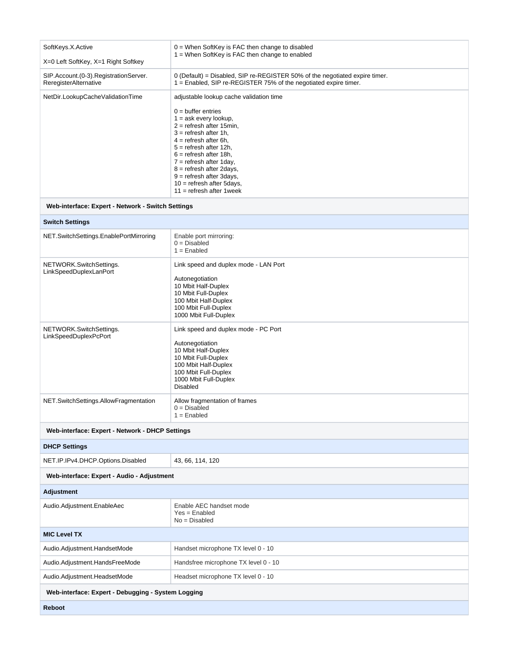| SoftKeys.X.Active                                              | $0 =$ When SoftKey is FAC then change to disabled<br>1 = When SoftKey is FAC then change to enabled                                                                                                                                                                                                                                               |
|----------------------------------------------------------------|---------------------------------------------------------------------------------------------------------------------------------------------------------------------------------------------------------------------------------------------------------------------------------------------------------------------------------------------------|
| X=0 Left SoftKey, X=1 Right Softkey                            |                                                                                                                                                                                                                                                                                                                                                   |
| SIP.Account.(0-3).RegistrationServer.<br>ReregisterAlternative | 0 (Default) = Disabled, SIP re-REGISTER 50% of the negotiated expire timer.<br>1 = Enabled, SIP re-REGISTER 75% of the negotiated expire timer.                                                                                                                                                                                                   |
| NetDir.LookupCacheValidationTime                               | adjustable lookup cache validation time                                                                                                                                                                                                                                                                                                           |
|                                                                | $0 =$ buffer entries<br>$1 = ask every lookup,$<br>$2 =$ refresh after 15min,<br>$3 =$ refresh after 1h,<br>$4 =$ refresh after 6h,<br>$5 =$ refresh after 12h.<br>$6 =$ refresh after 18h,<br>$7 =$ refresh after 1 day,<br>$8 =$ refresh after 2days,<br>9 = refresh after 3days,<br>$10 =$ refresh after 5days,<br>$11 =$ refresh after 1 week |
| Web-interface: Expert - Network - Switch Settings              |                                                                                                                                                                                                                                                                                                                                                   |
| <b>Switch Settings</b>                                         |                                                                                                                                                                                                                                                                                                                                                   |
| NET.SwitchSettings.EnablePortMirroring                         | Enable port mirroring:<br>$0 = Disabled$<br>$1 =$ Enabled                                                                                                                                                                                                                                                                                         |
| NETWORK.SwitchSettings.<br>LinkSpeedDuplexLanPort              | Link speed and duplex mode - LAN Port                                                                                                                                                                                                                                                                                                             |
|                                                                | Autonegotiation<br>10 Mbit Half-Duplex<br>10 Mbit Full-Duplex<br>100 Mbit Half-Duplex<br>100 Mbit Full-Duplex<br>1000 Mbit Full-Duplex                                                                                                                                                                                                            |
| NETWORK.SwitchSettings.<br>LinkSpeedDuplexPcPort               | Link speed and duplex mode - PC Port<br>Autonegotiation<br>10 Mbit Half-Duplex<br>10 Mbit Full-Duplex<br>100 Mbit Half-Duplex<br>100 Mbit Full-Duplex<br>1000 Mbit Full-Duplex<br><b>Disabled</b>                                                                                                                                                 |
| NET.SwitchSettings.AllowFragmentation                          | Allow fragmentation of frames<br>$0 = Disabled$<br>1 = Enabled                                                                                                                                                                                                                                                                                    |
| Web-interface: Expert - Network - DHCP Settings                |                                                                                                                                                                                                                                                                                                                                                   |
| <b>DHCP Settings</b>                                           |                                                                                                                                                                                                                                                                                                                                                   |
| NET.IP.IPv4.DHCP.Options.Disabled                              | 43, 66, 114, 120                                                                                                                                                                                                                                                                                                                                  |
| Web-interface: Expert - Audio - Adjustment                     |                                                                                                                                                                                                                                                                                                                                                   |
| <b>Adjustment</b>                                              |                                                                                                                                                                                                                                                                                                                                                   |
| Audio.Adjustment.EnableAec                                     | Enable AEC handset mode<br>$Yes = Enable$<br>$No = Disabeled$                                                                                                                                                                                                                                                                                     |
| <b>MIC Level TX</b>                                            |                                                                                                                                                                                                                                                                                                                                                   |
| Audio.Adjustment.HandsetMode                                   | Handset microphone TX level 0 - 10                                                                                                                                                                                                                                                                                                                |
| Audio.Adjustment.HandsFreeMode                                 | Handsfree microphone TX level 0 - 10                                                                                                                                                                                                                                                                                                              |
| Audio.Adjustment.HeadsetMode                                   | Headset microphone TX level 0 - 10                                                                                                                                                                                                                                                                                                                |
| Web-interface: Expert - Debugging - System Logging             |                                                                                                                                                                                                                                                                                                                                                   |
| <b>Reboot</b>                                                  |                                                                                                                                                                                                                                                                                                                                                   |